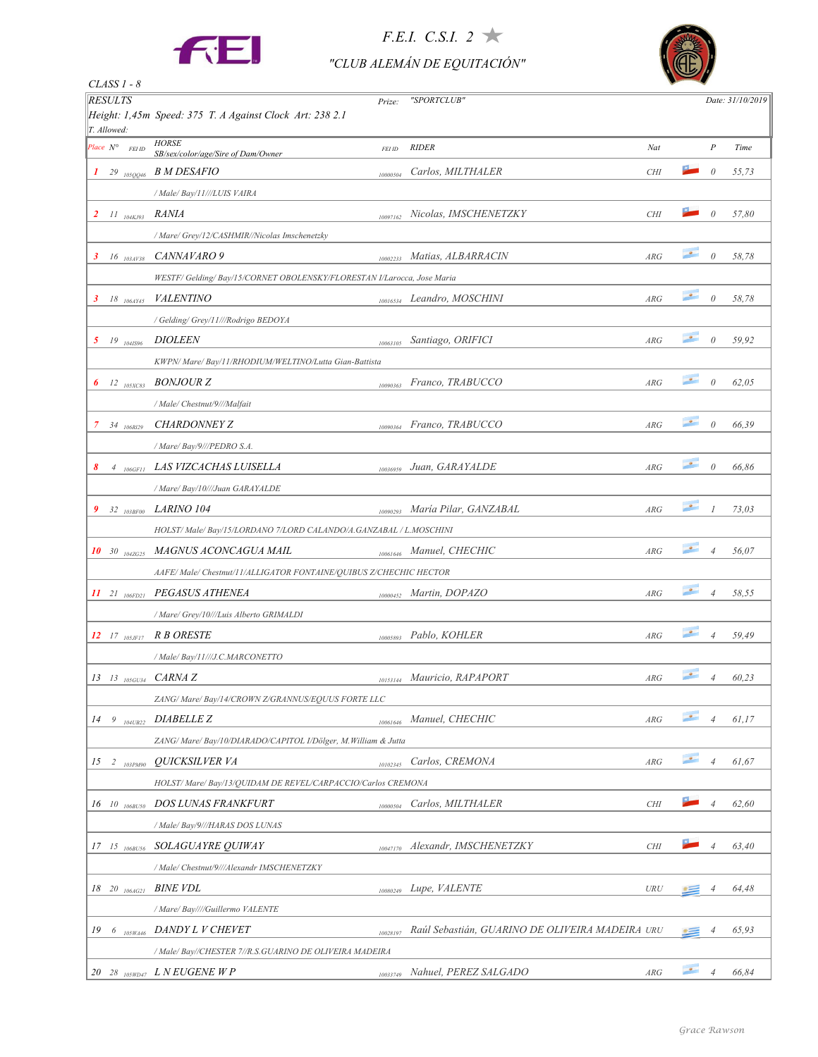

*CLASS 1 - 8*

#### *F.E.I. C.S.I. 2*

#### *"CLUB ALEMÁN DE EQUITACIÓN"*



| <b>RESULTS</b>               | Prize:                                                                   | "SPORTCLUB"                                     |            |                          |                  | Date: 31/10/2019 |
|------------------------------|--------------------------------------------------------------------------|-------------------------------------------------|------------|--------------------------|------------------|------------------|
|                              | Height: 1,45m Speed: 375 T. A Against Clock Art: 238 2.1                 |                                                 |            |                          |                  |                  |
| T. Allowed:                  |                                                                          |                                                 |            |                          |                  |                  |
| Place $N^{\circ}$<br>FEI ID  | <b>HORSE</b><br>FEI ID<br>SB/sex/color/age/Sire of Dam/Owner             | <b>RIDER</b>                                    | Nat        |                          | $\boldsymbol{P}$ | Time             |
| $1 \t29 \t_{105QQ46}$        | <i>B M DESAFIO</i><br>10000504                                           | Carlos, MILTHALER                               | <b>CHI</b> |                          | $\theta$         | 55,73            |
|                              | / Male/ Bay/11///LUIS VAIRA                                              |                                                 |            |                          |                  |                  |
| $II_{104KJ93}$<br>2          | <i>RANIA</i><br>10097162                                                 | Nicolas, IMSCHENETZKY                           | <b>CHI</b> |                          | $\theta$         | 57,80            |
|                              | / Mare/ Grey/12/CASHMIR//Nicolas Imschenetzky                            |                                                 |            |                          |                  |                  |
| 3<br>$16$ $_{103A}$ $_{138}$ | CANNAVARO 9<br>10002233                                                  | Matias, ALBARRACIN                              | ARG        | $\bullet$                | $\theta$         | 58,78            |
|                              | WESTF/ Gelding/ Bay/15/CORNET OBOLENSKY/FLORESTAN I/Larocca, Jose Maria  |                                                 |            |                          |                  |                  |
| 3<br>18 <sub>106AY45</sub>   | <i>VALENTINO</i><br>10016534                                             | Leandro, MOSCHINI                               | ARG        | $\overline{\phantom{a}}$ | $\theta$         | 58,78            |
|                              | / Gelding/ Grey/11///Rodrigo BEDOYA                                      |                                                 |            |                          |                  |                  |
| 5 19 $_{1041596}$            | <i>DIOLEEN</i><br>10063105                                               | Santiago, ORIFICI                               | ARG        | $\bullet$                | $\theta$         | 59,92            |
|                              | KWPN/ Mare/ Bay/11/RHODIUM/WELTINO/Lutta Gian-Battista                   |                                                 |            |                          |                  |                  |
| $12$ $_{105XCS3}$<br>6       | <i>BONJOUR Z</i><br>10090363                                             | Franco, TRABUCCO                                | ARG        | $\bullet$                | $\theta$         | 62,05            |
|                              | / Male/ Chestnut/9///Malfait                                             |                                                 |            |                          |                  |                  |
| $34$ 106R129<br>7.           | <b>CHARDONNEY Z</b><br>10090364                                          | Franco, TRABUCCO                                | ARG        | $\bullet$                | $\theta$         | 66,39            |
|                              | / Mare/ Bay/9///PEDRO S.A.                                               |                                                 |            |                          |                  |                  |
| $4_{106GFI}$                 | LAS VIZCACHAS LUISELLA<br>10036959                                       | Juan, GARAYALDE                                 | ARG        | $\bullet$                | $\theta$         | 66,86            |
|                              | / Mare/ Bay/10///Juan GARAYALDE                                          |                                                 |            |                          |                  |                  |
| 9<br>$32\ \ 103BF00$         | <i>LARINO 104</i><br>10090293                                            | María Pilar, GANZABAL                           | ARG        | $\bullet$                | $\mathcal{I}$    | 73,03            |
|                              | HOLST/ Male/ Bay/15/LORDANO 7/LORD CALANDO/A.GANZABAL / L.MOSCHINI       |                                                 |            |                          |                  |                  |
| 10 30 $_{104ZG25}$           | MAGNUS ACONCAGUA MAIL                                                    | 10061646 Manuel, CHECHIC                        | ARG        | $\bullet$                | $\overline{4}$   | 56,07            |
|                              | AAFE/Male/Chestnut/11/ALLIGATOR FONTAINE/QUIBUS Z/CHECHIC HECTOR         |                                                 |            |                          |                  |                  |
|                              | 11 21 106FD21 PEGASUS ATHENEA<br>10000452                                | Martin, DOPAZO                                  | ARG        | $\bullet$                | $\overline{4}$   | 58,55            |
|                              | / Mare/ Grey/10///Luis Alberto GRIMALDI                                  |                                                 |            |                          |                  |                  |
| $12$ 17 $_{105JFI7}$         | <i>R B ORESTE</i><br>10005893                                            | Pablo, KOHLER                                   | ARG        | $\bullet$                | $\overline{4}$   | 59,49            |
|                              | / Male/ Bay/11///J.C.MARCONETTO                                          |                                                 |            |                          |                  |                  |
| $13$ $13$ $105$ $6034$       | CARNA Z                                                                  | Mauricio, RAPAPORT                              | ARG        | $\bullet$                | $\overline{4}$   | 60,23            |
|                              | 10153144<br>ZANG/ Mare/ Bay/14/CROWN Z/GRANNUS/EQUUS FORTE LLC           |                                                 |            |                          |                  |                  |
| $14 \t9 \t_{104UB22}$        | <i>DIABELLE Z</i>                                                        | Manuel, CHECHIC                                 | ARG        | $\bullet$                | $\overline{4}$   | 61,17            |
|                              | 10061646<br>ZANG/Mare/Bay/10/DIARADO/CAPITOL I/Dölger, M.William & Jutta |                                                 |            |                          |                  |                  |
|                              | <i>QUICKSILVER VA</i>                                                    | Carlos, CREMONA                                 | ARG        | $\bullet$                | $\overline{4}$   | 61,67            |
| $15 \t2 \t103PM90$           | 10102345<br>HOLST/ Mare/ Bay/13/OUIDAM DE REVEL/CARPACCIO/Carlos CREMONA |                                                 |            |                          |                  |                  |
|                              |                                                                          |                                                 |            |                          |                  |                  |
| 16 10 $_{106BUS0}$           | <b>DOS LUNAS FRANKFURT</b><br>10000504                                   | Carlos, MILTHALER                               | <b>CHI</b> |                          | 4                | 62,60            |
|                              | / Male/ Bay/9///HARAS DOS LUNAS                                          |                                                 |            |                          |                  |                  |
| $17$ $15$ $_{106BU56}$       | SOLAGUAYRE QUIWAY<br>10047170                                            | Alexandr, IMSCHENETZKY                          | <b>CHI</b> |                          | $\overline{4}$   | 63,40            |
|                              | / Male/ Chestnut/9///Alexandr IMSCHENETZKY                               |                                                 |            |                          |                  |                  |
| $18$ 20 $_{106AG21}$         | <i>BINE VDL</i><br>10080249                                              | Lupe, VALENTE                                   | URU        |                          | 4                | 64,48            |
|                              | / Mare/ Bay////Guillermo VALENTE                                         |                                                 |            |                          |                  |                  |
|                              | 19 6 105WA46 DANDY L V CHEVET<br>10028197                                | Raúl Sebastián, GUARINO DE OLIVEIRA MADEIRA URU |            |                          | 4                | 65,93            |
|                              | / Male/ Bay//CHESTER 7//R.S.GUARINO DE OLIVEIRA MADEIRA                  |                                                 |            |                          |                  |                  |
|                              | 20 28 $_{105WD47}$ LNEUGENEWP<br>10033749                                | Nahuel, PEREZ SALGADO                           | ARG        | $\bullet$                | $\overline{4}$   | 66,84            |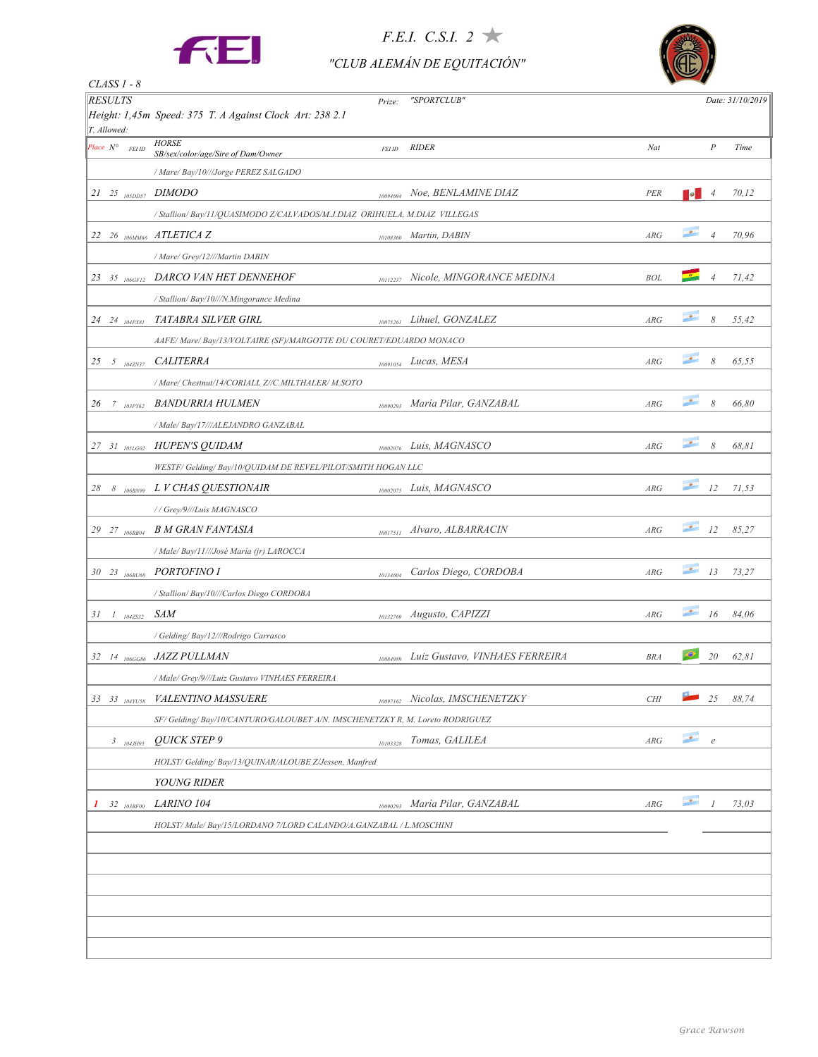

## *F.E.I. C.S.I. 2*

#### *"CLUB ALEMÁN DE EQUITACIÓN"*



| $CLASS 1 - 8$                                     |                                                                             |          |                                |                         |                          |                  |                  |
|---------------------------------------------------|-----------------------------------------------------------------------------|----------|--------------------------------|-------------------------|--------------------------|------------------|------------------|
| <b>RESULTS</b>                                    | Height: 1,45m Speed: 375 T. A Against Clock Art: 238 2.1                    | Prize:   | "SPORTCLUB"                    |                         |                          |                  | Date: 31/10/2019 |
| T. Allowed:<br>Place $N^{\circ}$<br><b>FEI ID</b> | <b>HORSE</b>                                                                | FEI ID   | <b>RIDER</b>                   | Nat                     |                          | $\boldsymbol{P}$ | Time             |
|                                                   | SB/sex/color/age/Sire of Dam/Owner                                          |          |                                |                         |                          |                  |                  |
|                                                   | / Mare/ Bay/10///Jorge PEREZ SALGADO                                        |          |                                |                         |                          |                  |                  |
| $21$ $25$ $_{105DD57}$ $DIMODO$                   |                                                                             | 10094694 | Noe, BENLAMINE DIAZ            | PER                     | le.                      | 4                | 70,12            |
|                                                   | / Stallion/ Bay/11/QUASIMODO Z/CALVADOS/M.J.DIAZ ORIHUELA, M.DIAZ VILLEGAS  |          |                                |                         |                          |                  |                  |
|                                                   | 22 26 106MM66 ATLETICA Z                                                    | 10108360 | Martin, DABIN                  | ARG                     | $\bullet$                | $\overline{4}$   | 70,96            |
|                                                   | / Mare/ Grey/12///Martin DABIN                                              |          |                                |                         |                          |                  |                  |
| 23 35 $106$ GF12                                  | DARCO VAN HET DENNEHOF                                                      | 10112237 | Nicole, MINGORANCE MEDINA      | <b>BOL</b>              |                          | $\overline{4}$   | 71,42            |
|                                                   | / Stallion/ Bay/10///N.Mingorance Medina                                    |          |                                |                         |                          |                  |                  |
| 24 24 <sub>104</sub> PX81                         | <b>TATABRA SILVER GIRL</b>                                                  | 10075261 | Lihuel, GONZALEZ               | ARG                     | $\bullet$                | 8                | 55,42            |
|                                                   | AAFE/Mare/Bay/13/VOLTAIRE (SF)/MARGOTTE DU COURET/EDUARDO MONACO            |          |                                |                         |                          |                  |                  |
| 25 5 $_{104ZN37}$                                 | <b>CALITERRA</b>                                                            | 10091054 | Lucas, MESA                    | ARG                     | $\bullet$                | 8                | 65,55            |
|                                                   | / Mare/ Chestnut/14/CORIALL Z//C.MILTHALER/ M.SOTO                          |          |                                |                         |                          |                  |                  |
| 26<br>$7 \quad 103PY62$                           | <i>BANDURRIA HULMEN</i>                                                     | 10090293 | María Pilar, GANZABAL          | ARG                     | $\bullet$                | 8                | 66,80            |
|                                                   | / Male/ Bay/17///ALEJANDRO GANZABAL                                         |          |                                |                         |                          |                  |                  |
| $27 \frac{31}{105}$                               | <b>HUPEN'S QUIDAM</b>                                                       | 10002076 | Luis, MAGNASCO                 | ARG                     | $\bullet$                | 8                | 68,81            |
|                                                   | WESTF/ Gelding/ Bay/10/QUIDAM DE REVEL/PILOT/SMITH HOGAN LLC                |          |                                |                         |                          |                  |                  |
| 28                                                | 8 106BN99 L V CHAS QUESTIONAIR                                              | 10002075 | Luis, MAGNASCO                 | ARG                     | $\bullet$                | 12               | 71,53            |
|                                                   | // Grey/9///Luis MAGNASCO                                                   |          |                                |                         |                          |                  |                  |
| 29 27 <sub>106RB04</sub>                          | <b>B M GRAN FANTASIA</b>                                                    | 10017511 | Alvaro, ALBARRACIN             | ARG                     | $\bullet$                | 12               | 85,27            |
|                                                   | / Male/ Bay/11///José María (jr) LAROCCA                                    |          |                                |                         |                          |                  |                  |
| 30 23 106BU60                                     | <b>PORTOFINO I</b>                                                          | 10134604 | Carlos Diego, CORDOBA          | ARG                     | $\bullet$                | 13               | 73,27            |
|                                                   | / Stallion/ Bay/10///Carlos Diego CORDOBA                                   |          |                                |                         |                          |                  |                  |
| $31 \tI 1042532$                                  | SAM                                                                         | 10132769 | Augusto, CAPIZZI               | ARG                     | $\overline{\phantom{a}}$ | 16               | 84,06            |
|                                                   | / Gelding/ Bay/12///Rodrigo Carrasco                                        |          |                                |                         |                          |                  |                  |
|                                                   | 32 14 106GG86 JAZZ PULLMAN                                                  | 10084989 | Luiz Gustavo, VINHAES FERREIRA | <b>BRA</b>              | $\bullet$                | 20               | 62,81            |
|                                                   | / Male/ Grey/9///Luiz Gustavo VINHAES FERREIRA                              |          |                                |                         |                          |                  |                  |
| 33 33 104Y1158                                    | <b>VALENTINO MASSUERE</b>                                                   | 10097162 | Nicolas, IMSCHENETZKY          | <b>CHI</b>              |                          | 25               | 88,74            |
|                                                   | SF/Gelding/Bay/10/CANTURO/GALOUBET A/N. IMSCHENETZKY R, M. Loreto RODRIGUEZ |          |                                |                         |                          |                  |                  |
| $3\frac{}{}_{104JH95}$                            | <b>OUICK STEP 9</b>                                                         | 10103328 | Tomas, GALILEA                 | $\mathbb{A}\mathbb{R}G$ | $\bullet$                | $\boldsymbol{e}$ |                  |
|                                                   | HOLST/ Gelding/ Bay/13/QUINAR/ALOUBE Z/Jessen, Manfred                      |          |                                |                         |                          |                  |                  |
|                                                   | <b>YOUNG RIDER</b>                                                          |          |                                |                         |                          |                  |                  |
|                                                   | <i>LARINO 104</i>                                                           |          | María Pilar, GANZABAL          | $\mathbb{A}\mathbb{R}G$ | $\bullet$                | 1                | 73,03            |
| $32\ \ 103BF00$<br>1                              |                                                                             | 10090293 |                                |                         |                          |                  |                  |
|                                                   | HOLST/ Male/ Bay/15/LORDANO 7/LORD CALANDO/A.GANZABAL / L.MOSCHINI          |          |                                |                         |                          |                  |                  |
|                                                   |                                                                             |          |                                |                         |                          |                  |                  |
|                                                   |                                                                             |          |                                |                         |                          |                  |                  |
|                                                   |                                                                             |          |                                |                         |                          |                  |                  |
|                                                   |                                                                             |          |                                |                         |                          |                  |                  |
|                                                   |                                                                             |          |                                |                         |                          |                  |                  |
|                                                   |                                                                             |          |                                |                         |                          |                  |                  |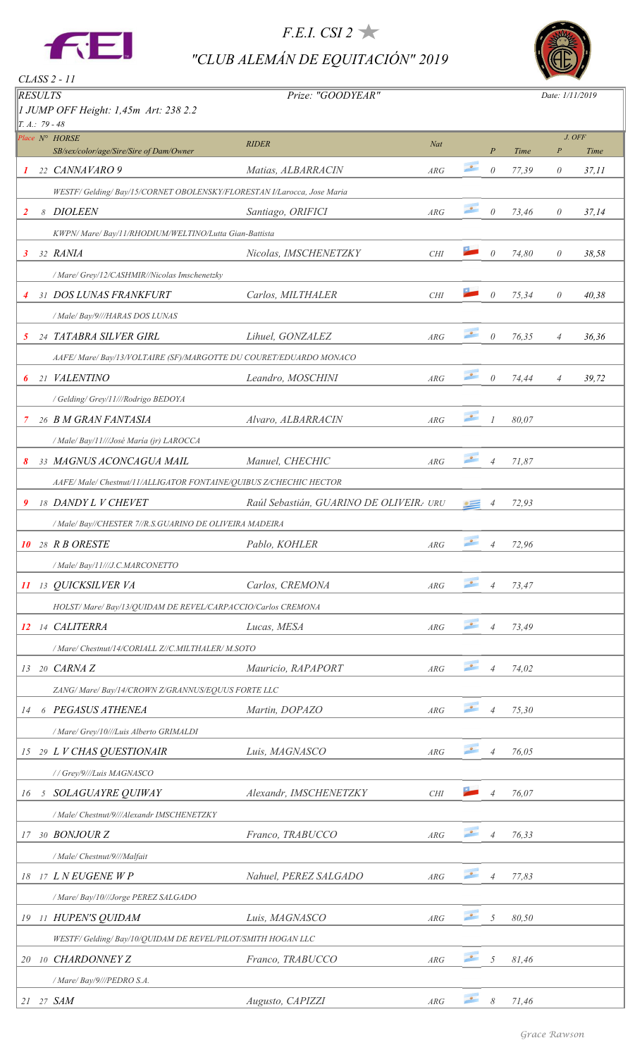

*F.E.I. CSI 2 "CLUB ALEMÁN DE EQUITACIÓN" 2019*



| <i>RESULTS</i>   | JUMP OFF Height: 1,45m Art: 238 2.2                                   | Prize: "GOODYEAR"                      |            |           |                  |       | Date: 1/11/2019  |        |
|------------------|-----------------------------------------------------------------------|----------------------------------------|------------|-----------|------------------|-------|------------------|--------|
| $T.A.: 79 - 48$  | Place N° HORSE                                                        |                                        |            |           |                  |       |                  | J. OFF |
|                  | SB/sex/color/age/Sire/Sire of Dam/Owner                               | <b>RIDER</b>                           | Nat        |           | $\boldsymbol{P}$ | Time  | $\boldsymbol{P}$ | Time   |
| 1                | 22 CANNAVARO 9                                                        | Matias, ALBARRACIN                     | ARG        | $\bullet$ | $\theta$         | 77,39 | $\theta$         | 37, 11 |
|                  | WESTF/Gelding/Bay/15/CORNET OBOLENSKY/FLORESTAN I/Larocca, Jose Maria |                                        |            |           |                  |       |                  |        |
| $\overline{2}$   | 8 DIOLEEN                                                             | Santiago, ORIFICI                      | ARG        | $\bullet$ | $\theta$         | 73,46 | $\theta$         | 37,14  |
|                  | KWPN/ Mare/ Bay/11/RHODIUM/WELTINO/Lutta Gian-Battista                |                                        |            |           |                  |       |                  |        |
| 3                | 32 RANIA                                                              | Nicolas, IMSCHENETZKY                  | <b>CHI</b> |           | $\theta$         | 74,80 | $\theta$         | 38,58  |
|                  | / Mare/ Grey/12/CASHMIR//Nicolas Imschenetzky                         |                                        |            |           |                  |       |                  |        |
| 4                | 31 DOS LUNAS FRANKFURT                                                | Carlos, MILTHALER                      | CHI        |           | $\theta$         | 75,34 | $\theta$         | 40,38  |
|                  | / Male/ Bay/9///HARAS DOS LUNAS                                       |                                        |            |           |                  |       |                  |        |
| 5                | 24 TATABRA SILVER GIRL                                                | Lihuel, GONZALEZ                       | ARG        | $\bullet$ | $\theta$         | 76,35 | $\overline{4}$   | 36,36  |
|                  | AAFE/Mare/Bay/13/VOLTAIRE (SF)/MARGOTTE DU COURET/EDUARDO MONACO      |                                        |            |           |                  |       |                  |        |
| 6                | 21 VALENTINO                                                          | Leandro, MOSCHINI                      | ARG        | $\bullet$ | $\theta$         | 74,44 | $\overline{4}$   | 39,72  |
|                  | / Gelding/ Grey/11///Rodrigo BEDOYA                                   |                                        |            |           |                  |       |                  |        |
| 7                | 26 B M GRAN FANTASIA                                                  | Alvaro, ALBARRACIN                     | ARG        | $\bullet$ | $\overline{I}$   | 80,07 |                  |        |
|                  | / Male/ Bay/11///José María (jr) LAROCCA                              |                                        |            |           |                  |       |                  |        |
| 8                | 33 MAGNUS ACONCAGUA MAIL                                              | Manuel, CHECHIC                        | ARG        | $\bullet$ | $\overline{4}$   | 71,87 |                  |        |
|                  | AAFE/Male/Chestnut/11/ALLIGATOR FONTAINE/QUIBUS Z/CHECHIC HECTOR      |                                        |            |           |                  |       |                  |        |
| 9                | 18 DANDY L V CHEVET                                                   | Raúl Sebastián, GUARINO DE OLIVEIR URU |            |           |                  | 72,93 |                  |        |
|                  | / Male/ Bay//CHESTER 7//R.S.GUARINO DE OLIVEIRA MADEIRA               |                                        |            |           |                  |       |                  |        |
| <i><b>10</b></i> | 28 R B ORESTE                                                         | Pablo, KOHLER                          | ARG        | $\bullet$ | $\overline{4}$   | 72,96 |                  |        |
|                  | / Male/ Bay/11///J.C.MARCONETTO                                       |                                        |            |           |                  |       |                  |        |
|                  | 11 13 QUICKSILVER VA                                                  | Carlos, CREMONA                        | ARG        | $\bullet$ | $\overline{4}$   | 73,47 |                  |        |
|                  | HOLST/ Mare/ Bay/13/QUIDAM DE REVEL/CARPACCIO/Carlos CREMONA          |                                        |            |           |                  |       |                  |        |
|                  | 12 14 CALITERRA                                                       | Lucas, MESA                            | ARG        | $\bullet$ | $\overline{4}$   | 73,49 |                  |        |
|                  | / Mare/ Chestnut/14/CORIALL Z//C.MILTHALER/ M.SOTO                    |                                        |            |           |                  |       |                  |        |
| 13               | 20 CARNA Z                                                            | Mauricio, RAPAPORT                     | ARG        | $\bullet$ | $\overline{4}$   | 74,02 |                  |        |
|                  | ZANG/ Mare/ Bay/14/CROWN Z/GRANNUS/EQUUS FORTE LLC                    |                                        |            |           |                  |       |                  |        |
| 14               | 6 PEGASUS ATHENEA                                                     | Martin, DOPAZO                         | ARG        | $\bullet$ | $\overline{4}$   | 75,30 |                  |        |
|                  | / Mare/ Grey/10///Luis Alberto GRIMALDI                               |                                        |            |           |                  |       |                  |        |
|                  | 15 29 L V CHAS QUESTIONAIR                                            | Luis, MAGNASCO                         | ARG        | $\bullet$ | $\overline{4}$   | 76,05 |                  |        |
|                  | //Grey/9///Luis MAGNASCO                                              |                                        |            |           |                  |       |                  |        |
| 16               | 5 SOLAGUAYRE QUIWAY                                                   | Alexandr, IMSCHENETZKY                 | CHI        |           | $\overline{4}$   | 76,07 |                  |        |
|                  | / Male/ Chestnut/9///Alexandr IMSCHENETZKY                            |                                        |            |           |                  |       |                  |        |
| 17               | 30 BONJOUR Z                                                          | Franco, TRABUCCO                       | ARG        | $\bullet$ | $\overline{4}$   | 76,33 |                  |        |
|                  |                                                                       |                                        |            |           |                  |       |                  |        |
|                  | / Male/ Chestnut/9///Malfait<br>18 17 LNEUGENE WP                     | Nahuel, PEREZ SALGADO                  | ARG        | $\bullet$ | $\overline{4}$   | 77,83 |                  |        |
|                  |                                                                       |                                        |            |           |                  |       |                  |        |
|                  | / Mare/ Bay/10///Jorge PEREZ SALGADO                                  |                                        |            | $\bullet$ |                  |       |                  |        |
|                  | 19 11 HUPEN'S QUIDAM                                                  | Luis, MAGNASCO                         | ARG        |           | 5                | 80,50 |                  |        |
|                  | WESTF/ Gelding/ Bay/10/QUIDAM DE REVEL/PILOT/SMITH HOGAN LLC          |                                        |            | $\bullet$ |                  |       |                  |        |
|                  | 20 10 CHARDONNEY Z                                                    | Franco, TRABUCCO                       | ARG        |           | 5                | 81,46 |                  |        |
|                  | / Mare/ Bay/9///PEDRO S.A.                                            |                                        |            |           |                  |       |                  |        |
|                  | 21 27 SAM                                                             | Augusto, CAPIZZI                       | ARG        | $\bullet$ | 8                | 71,46 |                  |        |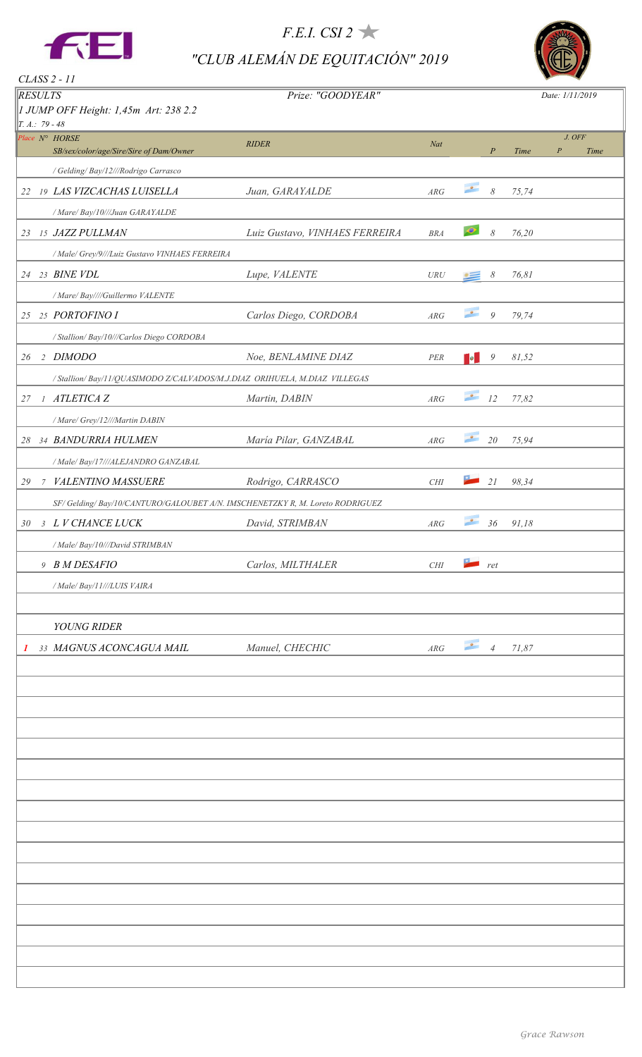

*F.E.I. CSI 2 "CLUB ALEMÁN DE EQUITACIÓN" 2019*



| CLASS 2 - 11     |   |                                                                             |                                |                            |                          |               |       |                            |      |
|------------------|---|-----------------------------------------------------------------------------|--------------------------------|----------------------------|--------------------------|---------------|-------|----------------------------|------|
| <b>RESULTS</b>   |   |                                                                             | Prize: "GOODYEAR"              |                            |                          |               |       | Date: 1/11/2019            |      |
| $T. A.: 79 - 48$ |   | 1 JUMP OFF Height: 1,45m Art: 238 2.2                                       |                                |                            |                          |               |       |                            |      |
|                  |   | Place $N^{\circ}$ HORSE<br>SB/sex/color/age/Sire/Sire of Dam/Owner          | <b>RIDER</b>                   | Nat                        |                          | $\cal P$      | Time  | J. OFF<br>$\boldsymbol{P}$ | Time |
|                  |   | / Gelding/ Bay/12///Rodrigo Carrasco                                        |                                |                            |                          |               |       |                            |      |
| 22               |   | <b>19 LAS VIZCACHAS LUISELLA</b>                                            | Juan, GARAYALDE                | ARG                        | $\bullet$                | $\mathcal S$  | 75,74 |                            |      |
|                  |   | / Mare/ Bay/10///Juan GARAYALDE                                             |                                |                            |                          |               |       |                            |      |
| 23               |   | 15 JAZZ PULLMAN                                                             | Luiz Gustavo, VINHAES FERREIRA | <b>BRA</b>                 | $\bullet$                | $\mathcal S$  | 76,20 |                            |      |
|                  |   | / Male/ Grey/9///Luiz Gustavo VINHAES FERREIRA                              |                                |                            |                          |               |       |                            |      |
|                  |   | 24 23 BINE VDL                                                              | Lupe, VALENTE                  | ${\cal U}{\cal R}{\cal U}$ | $\cdot =$                | 8             | 76,81 |                            |      |
|                  |   | / Mare/ Bay////Guillermo VALENTE                                            |                                |                            |                          |               |       |                            |      |
|                  |   | 25 25 PORTOFINO I                                                           | Carlos Diego, CORDOBA          | ARG                        | $\bullet$                | $\mathcal{G}$ | 79,74 |                            |      |
|                  |   | / Stallion/ Bay/10///Carlos Diego CORDOBA                                   |                                |                            |                          |               |       |                            |      |
|                  |   | 26 2 DIMODO                                                                 | Noe, BENLAMINE DIAZ            | ${PER}$                    | <b>B</b>                 | 9             | 81,52 |                            |      |
|                  |   | / Stallion/ Bay/11/QUASIMODO Z/CALVADOS/M.J.DIAZ ORIHUELA, M.DIAZ VILLEGAS  |                                |                            |                          |               |       |                            |      |
| 27               |   | 1 ATLETICA Z                                                                | Martin, DABIN                  | ARG                        | $\bullet$                | 12            | 77,82 |                            |      |
|                  |   | / Mare/ Grey/12///Martin DABIN                                              |                                |                            |                          |               |       |                            |      |
| 28               |   | 34 BANDURRIA HULMEN                                                         | María Pilar, GANZABAL          | ARG                        | $\bullet$                | 20            | 75,94 |                            |      |
|                  |   | / Male/ Bay/17///ALEJANDRO GANZABAL                                         |                                |                            |                          |               |       |                            |      |
| 29               | 7 | VALENTINO MASSUERE                                                          | Rodrigo, CARRASCO              | CHI                        |                          | 21            | 98,34 |                            |      |
|                  |   | SF/Gelding/Bay/10/CANTURO/GALOUBET A/N. IMSCHENETZKY R, M. Loreto RODRIGUEZ |                                |                            |                          |               |       |                            |      |
| 30               |   | 3 L V CHANCE LUCK                                                           | David, STRIMBAN                | ARG                        | $\overline{\phantom{a}}$ | $36\,$        | 91,18 |                            |      |
|                  |   | / Male/ Bay/10///David STRIMBAN                                             |                                |                            |                          |               |       |                            |      |
|                  |   | 9 B M DESAFIO                                                               | Carlos, MILTHALER              | $\mathit{CHI}$             | r                        |               |       |                            |      |
|                  |   | / Male/ Bay/11///LUIS VAIRA                                                 |                                |                            |                          |               |       |                            |      |
|                  |   |                                                                             |                                |                            |                          |               |       |                            |      |
|                  |   | YOUNG RIDER                                                                 |                                |                            |                          |               |       |                            |      |
| 1                |   | 33 MAGNUS ACONCAGUA MAIL                                                    | Manuel, CHECHIC                | $\mathcal{A}\mathcal{R}G$  | $\bullet$ 4              |               | 71,87 |                            |      |
|                  |   |                                                                             |                                |                            |                          |               |       |                            |      |
|                  |   |                                                                             |                                |                            |                          |               |       |                            |      |
|                  |   |                                                                             |                                |                            |                          |               |       |                            |      |
|                  |   |                                                                             |                                |                            |                          |               |       |                            |      |
|                  |   |                                                                             |                                |                            |                          |               |       |                            |      |
|                  |   |                                                                             |                                |                            |                          |               |       |                            |      |
|                  |   |                                                                             |                                |                            |                          |               |       |                            |      |
|                  |   |                                                                             |                                |                            |                          |               |       |                            |      |
|                  |   |                                                                             |                                |                            |                          |               |       |                            |      |
|                  |   |                                                                             |                                |                            |                          |               |       |                            |      |
|                  |   |                                                                             |                                |                            |                          |               |       |                            |      |
|                  |   |                                                                             |                                |                            |                          |               |       |                            |      |
|                  |   |                                                                             |                                |                            |                          |               |       |                            |      |
|                  |   |                                                                             |                                |                            |                          |               |       |                            |      |
|                  |   |                                                                             |                                |                            |                          |               |       |                            |      |
|                  |   |                                                                             |                                |                            |                          |               |       |                            |      |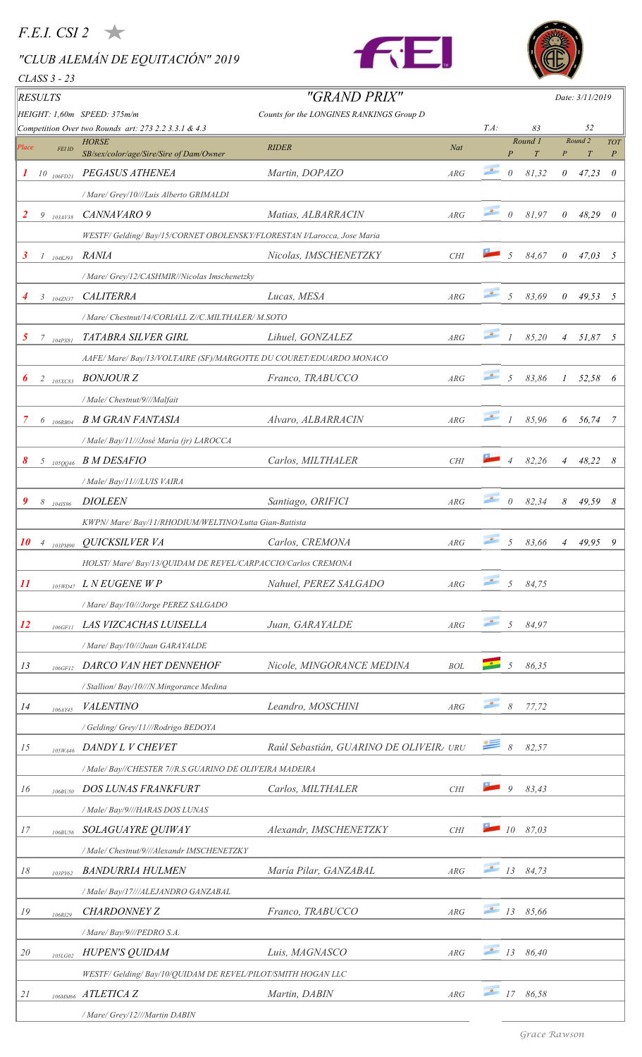## *F.E.I. CSI 2*

# *"CLUB ALEMÁN DE EQUITACIÓN" 2019*

*CLASS 3 - 23*





| RESULTS               |                |                                                                                                                                                                                                                                                                                                                                                     |                                                                       | "GRAND PRIX"                             |                         |                 |                |                |                | Date: 3/11/2019  |                  |
|-----------------------|----------------|-----------------------------------------------------------------------------------------------------------------------------------------------------------------------------------------------------------------------------------------------------------------------------------------------------------------------------------------------------|-----------------------------------------------------------------------|------------------------------------------|-------------------------|-----------------|----------------|----------------|----------------|------------------|------------------|
|                       |                |                                                                                                                                                                                                                                                                                                                                                     | HEIGHT: 1,60m SPEED: 375m/m                                           | Counts for the LONGINES RANKINGS Group D |                         |                 |                |                |                |                  |                  |
|                       |                |                                                                                                                                                                                                                                                                                                                                                     | Competition Over two Rounds art: 273 2.2 3.3.1 & 4.3<br><b>HORSE</b>  | <b>RIDER</b>                             | Nat                     | $T.A$ :         |                | 83<br>Round 1  |                | 52<br>Round 2    | <b>TOT</b>       |
| Place                 |                | FEI ID                                                                                                                                                                                                                                                                                                                                              | SB/sex/color/age/Sire/Sire of Dam/Owner                               |                                          |                         |                 | $\overline{P}$ | $\overline{T}$ |                | $\boldsymbol{T}$ | $\boldsymbol{P}$ |
| $\boldsymbol{I}$      |                | $10$ $_{106FD21}$                                                                                                                                                                                                                                                                                                                                   | PEGASUS ATHENEA                                                       | Martin, DOPAZO                           | ARG                     | $\sim$          | $\theta$       | 81,32          | 0              | 47,23            | $\theta$         |
|                       |                |                                                                                                                                                                                                                                                                                                                                                     | / Mare/ Grey/10///Luis Alberto GRIMALDI                               |                                          |                         |                 |                |                |                |                  |                  |
| 2                     | 9              | 103AV38                                                                                                                                                                                                                                                                                                                                             | CANNAVARO 9                                                           | Matias, ALBARRACIN                       | ARG                     | $\bullet$       | $\theta$       | 81,97          | 0              | 48,29            | $\theta$         |
|                       |                |                                                                                                                                                                                                                                                                                                                                                     | WESTF/Gelding/Bay/15/CORNET OBOLENSKY/FLORESTAN I/Larocca, Jose Maria |                                          |                         |                 |                |                |                |                  |                  |
| 3                     |                | $1_{104KJ93}$                                                                                                                                                                                                                                                                                                                                       | <b>RANIA</b>                                                          | Nicolas, IMSCHENETZKY                    | CHI                     |                 | 5              | 84,67          | 0              | 47,03            | 5                |
|                       |                |                                                                                                                                                                                                                                                                                                                                                     | / Mare/ Grey/12/CASHMIR//Nicolas Imschenetzky                         |                                          |                         |                 |                |                |                |                  |                  |
|                       |                | $3$ $1042N37$                                                                                                                                                                                                                                                                                                                                       | <b>CALITERRA</b>                                                      | Lucas, MESA                              | $\mathbb{A}\mathbb{R}G$ | $\bullet$       | 5              | 83,69          | $\theta$       | 49,53            | 5                |
|                       |                |                                                                                                                                                                                                                                                                                                                                                     | / Mare/ Chestnut/14/CORIALL Z//C.MILTHALER/ M.SOTO                    |                                          |                         |                 |                |                |                |                  |                  |
| 5                     |                | $7 \t_{104Px81}$                                                                                                                                                                                                                                                                                                                                    | TATABRA SILVER GIRL                                                   | Lihuel, GONZALEZ                         | ARG                     | $\bullet$       |                | 85,20          | $\overline{4}$ | 51,87 5          |                  |
|                       |                |                                                                                                                                                                                                                                                                                                                                                     | AAFE/Mare/Bay/13/VOLTAIRE (SF)/MARGOTTE DU COURET/EDUARDO MONACO      |                                          |                         |                 |                |                |                |                  |                  |
| $\boldsymbol{\theta}$ |                | $2\frac{}{}$ 105XC83                                                                                                                                                                                                                                                                                                                                | <b>BONJOUR Z</b>                                                      | Franco, TRABUCCO                         | ARG                     | $\bullet$       | 5              | 83,86          |                | 52,58            | 6                |
|                       |                |                                                                                                                                                                                                                                                                                                                                                     | / Male/ Chestnut/9///Malfait                                          |                                          |                         |                 |                |                |                |                  |                  |
| 7                     |                |                                                                                                                                                                                                                                                                                                                                                     | <b>B M GRAN FANTASIA</b>                                              | Alvaro, ALBARRACIN                       | ARG                     | $\bullet$       | $\overline{I}$ | 85,96          |                |                  |                  |
|                       |                | $6$ 106RB04                                                                                                                                                                                                                                                                                                                                         |                                                                       |                                          |                         |                 |                |                | 6              | 56,74            | 7                |
|                       |                |                                                                                                                                                                                                                                                                                                                                                     | / Male/ Bay/11///José María (jr) LAROCCA                              |                                          |                         |                 |                |                |                |                  |                  |
| 8                     |                | $5$ 105QQ46                                                                                                                                                                                                                                                                                                                                         | <b>B M DESAFIO</b>                                                    | Carlos, MILTHALER                        | <b>CHI</b>              |                 | $\overline{4}$ | 82,26          | $\overline{4}$ | 48,22            | 8                |
|                       |                |                                                                                                                                                                                                                                                                                                                                                     | / Male/ Bay/11///LUIS VAIRA                                           |                                          |                         |                 |                |                |                |                  |                  |
| 9                     |                | $8$ $\phantom{0}$ $\phantom{0}$ $\phantom{0}$ $\phantom{0}$ $\phantom{0}$ $\phantom{0}$ $\phantom{0}$ $\phantom{0}$ $\phantom{0}$ $\phantom{0}$ $\phantom{0}$ $\phantom{0}$ $\phantom{0}$ $\phantom{0}$ $\phantom{0}$ $\phantom{0}$ $\phantom{0}$ $\phantom{0}$ $\phantom{0}$ $\phantom{0}$ $\phantom{0}$ $\phantom{0}$ $\phantom{0}$ $\phantom{0}$ | <b>DIOLEEN</b>                                                        | Santiago, ORIFICI                        | ARG                     | $\bullet$       | $\theta$       | 82,34          | 8              | 49,59 8          |                  |
|                       |                |                                                                                                                                                                                                                                                                                                                                                     | KWPN/ Mare/ Bay/11/RHODIUM/WELTINO/Lutta Gian-Battista                |                                          |                         |                 |                |                |                |                  |                  |
| 10                    | $\overline{4}$ | 103PM90                                                                                                                                                                                                                                                                                                                                             | QUICKSILVER VA                                                        | Carlos, CREMONA                          | ARG                     | $\bullet$       | 5              | 83,66          | $\overline{4}$ | 49,95            | 9                |
|                       |                |                                                                                                                                                                                                                                                                                                                                                     | HOLST/ Mare/ Bay/13/QUIDAM DE REVEL/CARPACCIO/Carlos CREMONA          |                                          |                         |                 |                |                |                |                  |                  |
| 11                    |                | 105WD47                                                                                                                                                                                                                                                                                                                                             | L N EUGENE W P                                                        | Nahuel, PEREZ SALGADO                    | ARG                     | $\bullet$       | $\overline{5}$ | 84,75          |                |                  |                  |
|                       |                |                                                                                                                                                                                                                                                                                                                                                     | / Mare/ Bay/10///Jorge PEREZ SALGADO                                  |                                          |                         |                 |                |                |                |                  |                  |
| <i>12</i>             |                | 106GF11                                                                                                                                                                                                                                                                                                                                             | LAS VIZCACHAS LUISELLA                                                | Juan, GARAYALDE                          | ARG                     | $\bullet$       | $\overline{5}$ | 84,97          |                |                  |                  |
|                       |                |                                                                                                                                                                                                                                                                                                                                                     | / Mare/ Bay/10///Juan GARAYALDE                                       |                                          |                         |                 |                |                |                |                  |                  |
| 13                    |                | 106GF12                                                                                                                                                                                                                                                                                                                                             | DARCO VAN HET DENNEHOF                                                | Nicole, MINGORANCE MEDINA                | <b>BOL</b>              |                 | 5              | 86,35          |                |                  |                  |
|                       |                |                                                                                                                                                                                                                                                                                                                                                     | / Stallion/ Bay/10///N.Mingorance Medina                              |                                          |                         |                 |                |                |                |                  |                  |
| 14                    |                | 106AY45                                                                                                                                                                                                                                                                                                                                             | <b>VALENTINO</b>                                                      | Leandro, MOSCHINI                        | ARG                     | $\bullet$       | $\delta$       | 77,72          |                |                  |                  |
|                       |                |                                                                                                                                                                                                                                                                                                                                                     | / Gelding/ Grey/11///Rodrigo BEDOYA                                   |                                          |                         |                 |                |                |                |                  |                  |
| 15                    |                | 105WA46                                                                                                                                                                                                                                                                                                                                             | DANDY L V CHEVET                                                      | Raúl Sebastián, GUARINO DE OLIVEIR URU   |                         | ≝               | $\delta$       | 82,57          |                |                  |                  |
|                       |                |                                                                                                                                                                                                                                                                                                                                                     | / Male/ Bay//CHESTER 7//R.S.GUARINO DE OLIVEIRA MADEIRA               |                                          |                         |                 |                |                |                |                  |                  |
| 16                    |                | 106BU50                                                                                                                                                                                                                                                                                                                                             | DOS LUNAS FRANKFURT                                                   | Carlos, MILTHALER                        | <b>CHI</b>              |                 | 9              | 83,43          |                |                  |                  |
|                       |                |                                                                                                                                                                                                                                                                                                                                                     | / Male/ Bay/9///HARAS DOS LUNAS                                       |                                          |                         |                 |                |                |                |                  |                  |
| 17                    |                |                                                                                                                                                                                                                                                                                                                                                     | SOLAGUAYRE QUIWAY                                                     | Alexandr, IMSCHENETZKY                   | <b>CHI</b>              | 2               | 10             | 87,03          |                |                  |                  |
|                       |                | 106BU56                                                                                                                                                                                                                                                                                                                                             | / Male/ Chestnut/9///Alexandr IMSCHENETZKY                            |                                          |                         |                 |                |                |                |                  |                  |
|                       |                |                                                                                                                                                                                                                                                                                                                                                     |                                                                       |                                          |                         | $\frac{13}{13}$ |                | 84,73          |                |                  |                  |
| $18\,$                |                | 103PY62                                                                                                                                                                                                                                                                                                                                             | <b>BANDURRIA HULMEN</b>                                               | María Pilar, GANZABAL                    | ARG                     |                 |                |                |                |                  |                  |
|                       |                |                                                                                                                                                                                                                                                                                                                                                     | / Male/ Bay/17///ALEJANDRO GANZABAL                                   |                                          |                         | $\bullet$       |                |                |                |                  |                  |
| 19                    |                | 106RI29                                                                                                                                                                                                                                                                                                                                             | <b>CHARDONNEY Z</b>                                                   | Franco, TRABUCCO                         | ARG                     |                 | 13             | 85,66          |                |                  |                  |
|                       |                |                                                                                                                                                                                                                                                                                                                                                     | / Mare/ Bay/9///PEDRO S.A.                                            |                                          |                         |                 |                |                |                |                  |                  |
| 20                    |                | 105LG02                                                                                                                                                                                                                                                                                                                                             | HUPEN'S QUIDAM                                                        | Luis, MAGNASCO                           | ARG                     | $\frac{13}{13}$ |                | 86,40          |                |                  |                  |
|                       |                |                                                                                                                                                                                                                                                                                                                                                     | WESTF/ Gelding/ Bay/10/QUIDAM DE REVEL/PILOT/SMITH HOGAN LLC          |                                          |                         |                 |                |                |                |                  |                  |
| 21                    |                |                                                                                                                                                                                                                                                                                                                                                     | 106MM66 ATLETICA Z                                                    | Martin, DABIN                            | ARG                     | $\bullet$       | 17             | 86,58          |                |                  |                  |
|                       |                |                                                                                                                                                                                                                                                                                                                                                     | / Mare/ Grey/12///Martin DABIN                                        |                                          |                         |                 |                |                |                |                  |                  |